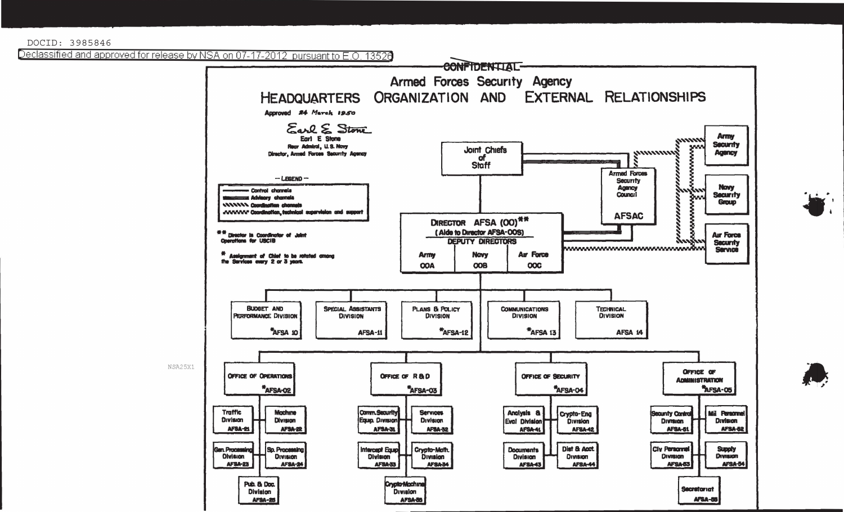DOCID: 3985846

Declassified and approved for release by NSA on 07-17-2012 pursuant to E.O. 13520